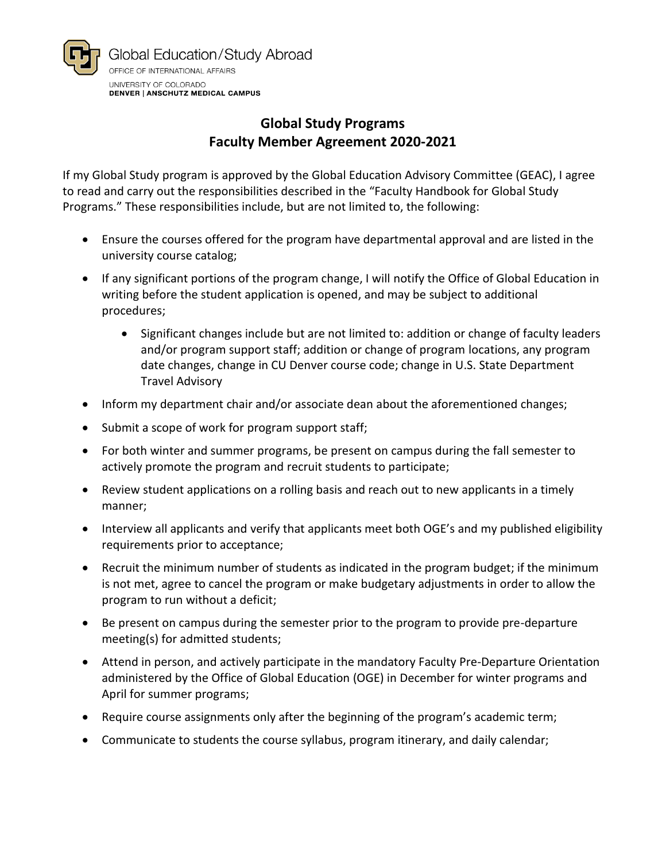

## **Global Study Programs Faculty Member Agreement 2020-2021**

If my Global Study program is approved by the Global Education Advisory Committee (GEAC), I agree to read and carry out the responsibilities described in the "Faculty Handbook for Global Study Programs." These responsibilities include, but are not limited to, the following:

- Ensure the courses offered for the program have departmental approval and are listed in the university course catalog;
- If any significant portions of the program change, I will notify the Office of Global Education in writing before the student application is opened, and may be subject to additional procedures;
	- Significant changes include but are not limited to: addition or change of faculty leaders and/or program support staff; addition or change of program locations, any program date changes, change in CU Denver course code; change in U.S. State Department Travel Advisory
- Inform my department chair and/or associate dean about the aforementioned changes;
- Submit a scope of work for program support staff;
- For both winter and summer programs, be present on campus during the fall semester to actively promote the program and recruit students to participate;
- Review student applications on a rolling basis and reach out to new applicants in a timely manner;
- Interview all applicants and verify that applicants meet both OGE's and my published eligibility requirements prior to acceptance;
- Recruit the minimum number of students as indicated in the program budget; if the minimum is not met, agree to cancel the program or make budgetary adjustments in order to allow the program to run without a deficit;
- Be present on campus during the semester prior to the program to provide pre-departure meeting(s) for admitted students;
- Attend in person, and actively participate in the mandatory Faculty Pre-Departure Orientation administered by the Office of Global Education (OGE) in December for winter programs and April for summer programs;
- Require course assignments only after the beginning of the program's academic term;
- Communicate to students the course syllabus, program itinerary, and daily calendar;